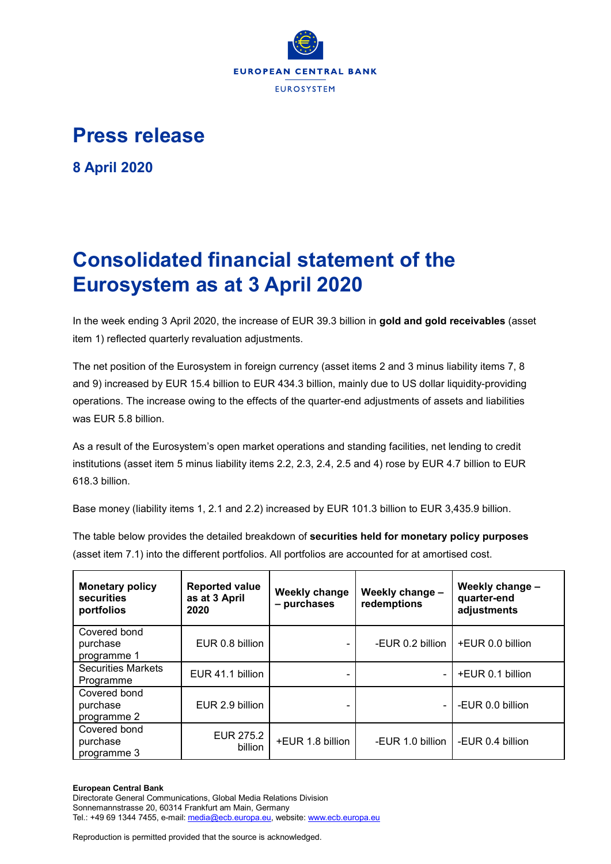

### **Press release**

**8 April 2020**

## **Consolidated financial statement of the Eurosystem as at 3 April 2020**

In the week ending 3 April 2020, the increase of EUR 39.3 billion in **gold and gold receivables** (asset item 1) reflected quarterly revaluation adjustments.

The net position of the Eurosystem in foreign currency (asset items 2 and 3 minus liability items 7, 8 and 9) increased by EUR 15.4 billion to EUR 434.3 billion, mainly due to US dollar liquidity-providing operations. The increase owing to the effects of the quarter-end adjustments of assets and liabilities was EUR 5.8 billion.

As a result of the Eurosystem's open market operations and standing facilities, net lending to credit institutions (asset item 5 minus liability items 2.2, 2.3, 2.4, 2.5 and 4) rose by EUR 4.7 billion to EUR 618.3 billion.

Base money (liability items 1, 2.1 and 2.2) increased by EUR 101.3 billion to EUR 3,435.9 billion.

The table below provides the detailed breakdown of **securities held for monetary policy purposes** (asset item 7.1) into the different portfolios. All portfolios are accounted for at amortised cost.

| <b>Monetary policy</b><br>securities<br>portfolios | <b>Reported value</b><br>as at 3 April<br>2020 | Weekly change<br>- purchases | Weekly change -<br>redemptions | Weekly change -<br>quarter-end<br>adjustments |
|----------------------------------------------------|------------------------------------------------|------------------------------|--------------------------------|-----------------------------------------------|
| Covered bond<br>purchase<br>programme 1            | EUR 0.8 billion                                |                              | -EUR 0.2 billion               | +EUR 0.0 billion                              |
| <b>Securities Markets</b><br>Programme             | EUR 41.1 billion                               |                              | $\blacksquare$                 | +EUR 0.1 billion                              |
| Covered bond<br>purchase<br>programme 2            | EUR 2.9 billion                                |                              |                                | -EUR 0.0 billion                              |
| Covered bond<br>purchase<br>programme 3            | EUR 275.2<br>billion                           | +EUR 1.8 billion             | -EUR 1.0 billion               | -EUR 0.4 billion                              |

#### **European Central Bank**

Directorate General Communications, Global Media Relations Division Sonnemannstrasse 20, 60314 Frankfurt am Main, Germany Tel.: +49 69 1344 7455, e-mail[: media@ecb.europa.eu,](mailto:media@ecb.europa.eu) website[: www.ecb.europa.eu](http://www.ecb.europa.eu/)

Reproduction is permitted provided that the source is acknowledged.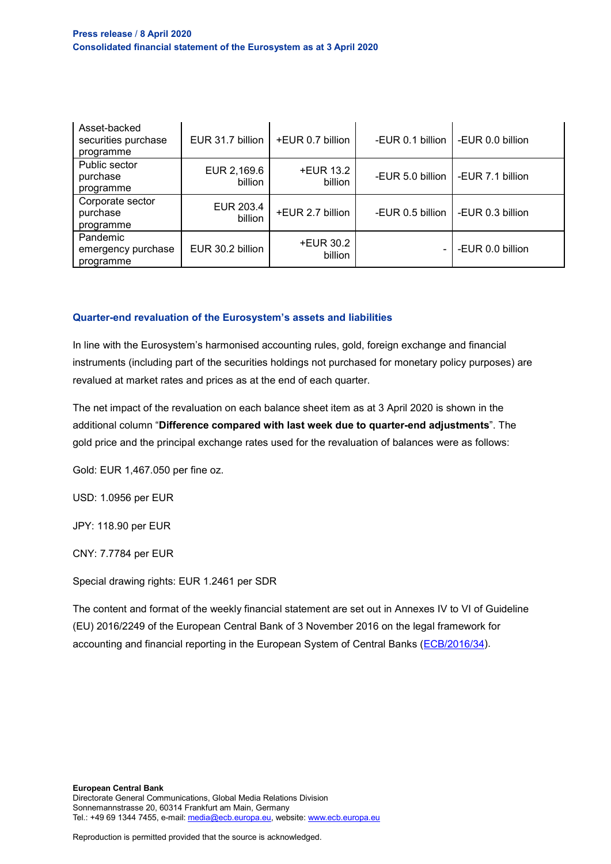| Asset-backed<br>securities purchase<br>programme | EUR 31.7 billion       | +EUR 0.7 billion            |                  | -EUR 0.1 billion   -EUR 0.0 billion |
|--------------------------------------------------|------------------------|-----------------------------|------------------|-------------------------------------|
| Public sector<br>purchase<br>programme           | EUR 2,169.6<br>billion | <b>+EUR 13.2</b><br>billion | -EUR 5.0 billion | -EUR 7.1 billion                    |
| Corporate sector<br>purchase<br>programme        | EUR 203.4<br>billion   | +EUR 2.7 billion            | -EUR 0.5 billion | -EUR 0.3 billion                    |
| Pandemic<br>emergency purchase<br>programme      | EUR 30.2 billion       | <b>+EUR 30.2</b><br>billion | $\blacksquare$   | -EUR 0.0 billion                    |

#### **Quarter-end revaluation of the Eurosystem's assets and liabilities**

In line with the Eurosystem's harmonised accounting rules, gold, foreign exchange and financial instruments (including part of the securities holdings not purchased for monetary policy purposes) are revalued at market rates and prices as at the end of each quarter.

The net impact of the revaluation on each balance sheet item as at 3 April 2020 is shown in the additional column "**Difference compared with last week due to quarter-end adjustments**". The gold price and the principal exchange rates used for the revaluation of balances were as follows:

Gold: EUR 1,467.050 per fine oz.

USD: 1.0956 per EUR

JPY: 118.90 per EUR

CNY: 7.7784 per EUR

Special drawing rights: EUR 1.2461 per SDR

The content and format of the weekly financial statement are set out in Annexes IV to VI of Guideline (EU) 2016/2249 of the European Central Bank of 3 November 2016 on the legal framework for accounting and financial reporting in the European System of Central Banks [\(ECB/2016/34\)](http://www.ecb.europa.eu/ecb/legal/1001/1012/html/index.en.html).

Reproduction is permitted provided that the source is acknowledged.